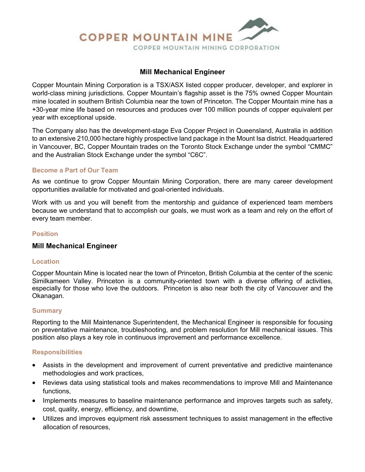

## **Mill Mechanical Engineer**

Copper Mountain Mining Corporation is a TSX/ASX listed copper producer, developer, and explorer in world-class mining jurisdictions. Copper Mountain's flagship asset is the 75% owned Copper Mountain mine located in southern British Columbia near the town of Princeton. The Copper Mountain mine has a +30-year mine life based on resources and produces over 100 million pounds of copper equivalent per year with exceptional upside.

The Company also has the development-stage Eva Copper Project in Queensland, Australia in addition to an extensive 210,000 hectare highly prospective land package in the Mount Isa district. Headquartered in Vancouver, BC, Copper Mountain trades on the Toronto Stock Exchange under the symbol "CMMC" and the Australian Stock Exchange under the symbol "C6C".

## **Become a Part of Our Team**

As we continue to grow Copper Mountain Mining Corporation, there are many career development opportunities available for motivated and goal-oriented individuals.

Work with us and you will benefit from the mentorship and guidance of experienced team members because we understand that to accomplish our goals, we must work as a team and rely on the effort of every team member.

## **Position**

## **Mill Mechanical Engineer**

#### **Location**

Copper Mountain Mine is located near the town of Princeton, British Columbia at the center of the scenic Similkameen Valley. Princeton is a community-oriented town with a diverse offering of activities, especially for those who love the outdoors. Princeton is also near both the city of Vancouver and the Okanagan.

#### **Summary**

Reporting to the Mill Maintenance Superintendent, the Mechanical Engineer is responsible for focusing on preventative maintenance, troubleshooting, and problem resolution for Mill mechanical issues. This position also plays a key role in continuous improvement and performance excellence.

## **Responsibilities**

- Assists in the development and improvement of current preventative and predictive maintenance methodologies and work practices,
- Reviews data using statistical tools and makes recommendations to improve Mill and Maintenance functions,
- Implements measures to baseline maintenance performance and improves targets such as safety, cost, quality, energy, efficiency, and downtime,
- Utilizes and improves equipment risk assessment techniques to assist management in the effective allocation of resources,